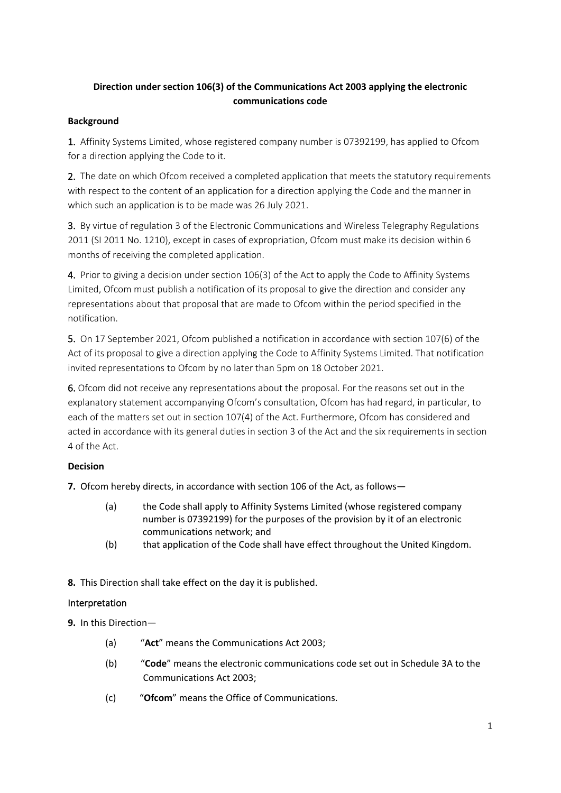# **Direction under section 106(3) of the Communications Act 2003 applying the electronic communications code**

### **Background**

1. Affinity Systems Limited, whose registered company number is 07392199, has applied to Ofcom for a direction applying the Code to it.

2. The date on which Ofcom received a completed application that meets the statutory requirements with respect to the content of an application for a direction applying the Code and the manner in which such an application is to be made was 26 July 2021.

3. By virtue of regulation 3 of the Electronic Communications and Wireless Telegraphy Regulations 2011 (SI 2011 No. 1210), except in cases of expropriation, Ofcom must make its decision within 6 months of receiving the completed application.

4. Prior to giving a decision under section 106(3) of the Act to apply the Code to Affinity Systems Limited, Ofcom must publish a notification of its proposal to give the direction and consider any representations about that proposal that are made to Ofcom within the period specified in the notification.

5. On 17 September 2021, Ofcom published a notification in accordance with section 107(6) of the Act of its proposal to give a direction applying the Code to Affinity Systems Limited. That notification invited representations to Ofcom by no later than 5pm on 18 October 2021.

6. Ofcom did not receive any representations about the proposal. For the reasons set out in the explanatory statement accompanying Ofcom's consultation, Ofcom has had regard, in particular, to each of the matters set out in section 107(4) of the Act. Furthermore, Ofcom has considered and acted in accordance with its general duties in section 3 of the Act and the six requirements in section 4 of the Act.

### **Decision**

**7.** Ofcom hereby directs, in accordance with section 106 of the Act, as follows—

- (a) the Code shall apply to Affinity Systems Limited (whose registered company number is 07392199) for the purposes of the provision by it of an electronic communications network; and
- (b) that application of the Code shall have effect throughout the United Kingdom.

**8.** This Direction shall take effect on the day it is published.

### Interpretation

**9.** In this Direction—

- (a) "**Act**" means the Communications Act 2003;
- (b) "**Code**" means the electronic communications code set out in Schedule 3A to the Communications Act 2003;
- (c) "**Ofcom**" means the Office of Communications.